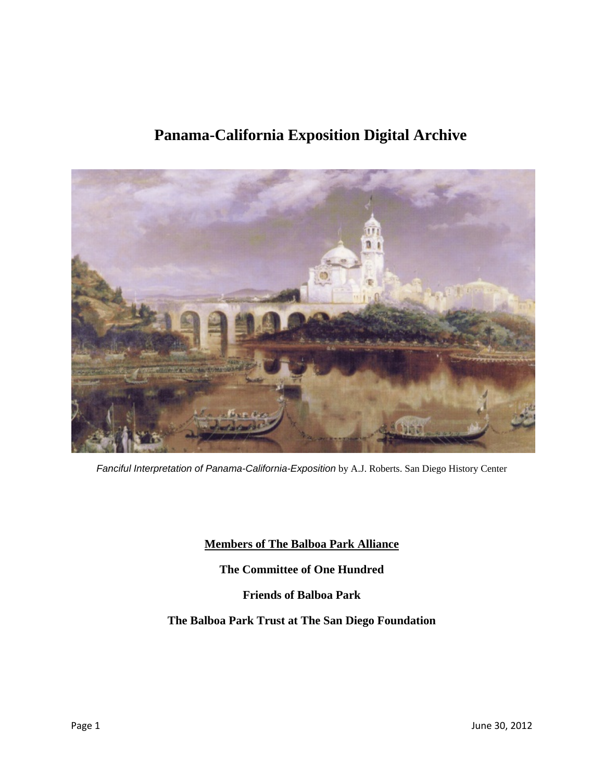# **Panama-California Exposition Digital Archive**



*Fanciful Interpretation of Panama-California-Exposition* by A.J. Roberts. San Diego History Center

**Members of The Balboa Park Alliance** 

**The Committee of One Hundred** 

**Friends of Balboa Park** 

**The Balboa Park Trust at The San Diego Foundation**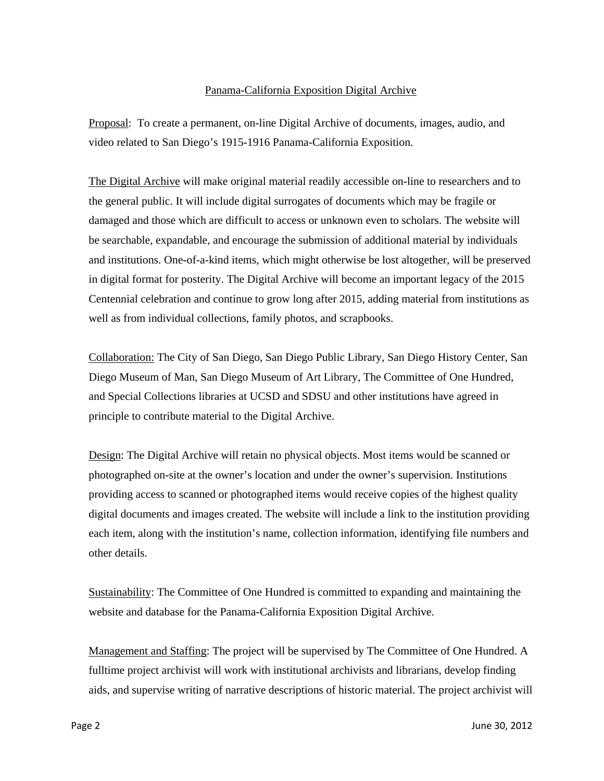## Panama-California Exposition Digital Archive

Proposal: To create a permanent, on-line Digital Archive of documents, images, audio, and video related to San Diego's 1915-1916 Panama-California Exposition.

The Digital Archive will make original material readily accessible on-line to researchers and to the general public. It will include digital surrogates of documents which may be fragile or damaged and those which are difficult to access or unknown even to scholars. The website will be searchable, expandable, and encourage the submission of additional material by individuals and institutions. One-of-a-kind items, which might otherwise be lost altogether, will be preserved in digital format for posterity. The Digital Archive will become an important legacy of the 2015 Centennial celebration and continue to grow long after 2015, adding material from institutions as well as from individual collections, family photos, and scrapbooks.

Collaboration: The City of San Diego, San Diego Public Library, San Diego History Center, San Diego Museum of Man, San Diego Museum of Art Library, The Committee of One Hundred, and Special Collections libraries at UCSD and SDSU and other institutions have agreed in principle to contribute material to the Digital Archive.

Design: The Digital Archive will retain no physical objects. Most items would be scanned or photographed on-site at the owner's location and under the owner's supervision. Institutions providing access to scanned or photographed items would receive copies of the highest quality digital documents and images created. The website will include a link to the institution providing each item, along with the institution's name, collection information, identifying file numbers and other details.

Sustainability: The Committee of One Hundred is committed to expanding and maintaining the website and database for the Panama-California Exposition Digital Archive.

Management and Staffing: The project will be supervised by The Committee of One Hundred. A fulltime project archivist will work with institutional archivists and librarians, develop finding aids, and supervise writing of narrative descriptions of historic material. The project archivist will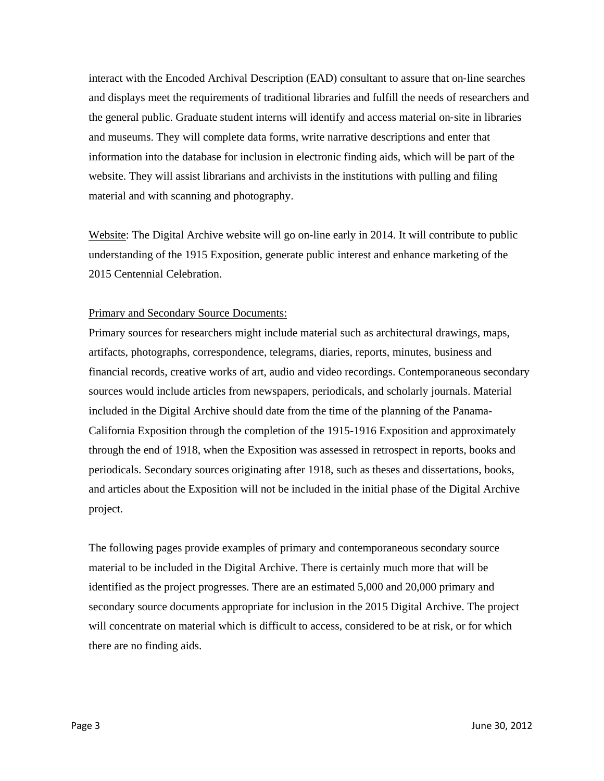interact with the Encoded Archival Description (EAD) consultant to assure that on‐line searches and displays meet the requirements of traditional libraries and fulfill the needs of researchers and the general public. Graduate student interns will identify and access material on‐site in libraries and museums. They will complete data forms, write narrative descriptions and enter that information into the database for inclusion in electronic finding aids, which will be part of the website. They will assist librarians and archivists in the institutions with pulling and filing material and with scanning and photography.

Website: The Digital Archive website will go on-line early in 2014. It will contribute to public understanding of the 1915 Exposition, generate public interest and enhance marketing of the 2015 Centennial Celebration.

### Primary and Secondary Source Documents:

Primary sources for researchers might include material such as architectural drawings, maps, artifacts, photographs, correspondence, telegrams, diaries, reports, minutes, business and financial records, creative works of art, audio and video recordings. Contemporaneous secondary sources would include articles from newspapers, periodicals, and scholarly journals. Material included in the Digital Archive should date from the time of the planning of the Panama-California Exposition through the completion of the 1915-1916 Exposition and approximately through the end of 1918, when the Exposition was assessed in retrospect in reports, books and periodicals. Secondary sources originating after 1918, such as theses and dissertations, books, and articles about the Exposition will not be included in the initial phase of the Digital Archive project.

The following pages provide examples of primary and contemporaneous secondary source material to be included in the Digital Archive. There is certainly much more that will be identified as the project progresses. There are an estimated 5,000 and 20,000 primary and secondary source documents appropriate for inclusion in the 2015 Digital Archive. The project will concentrate on material which is difficult to access, considered to be at risk, or for which there are no finding aids.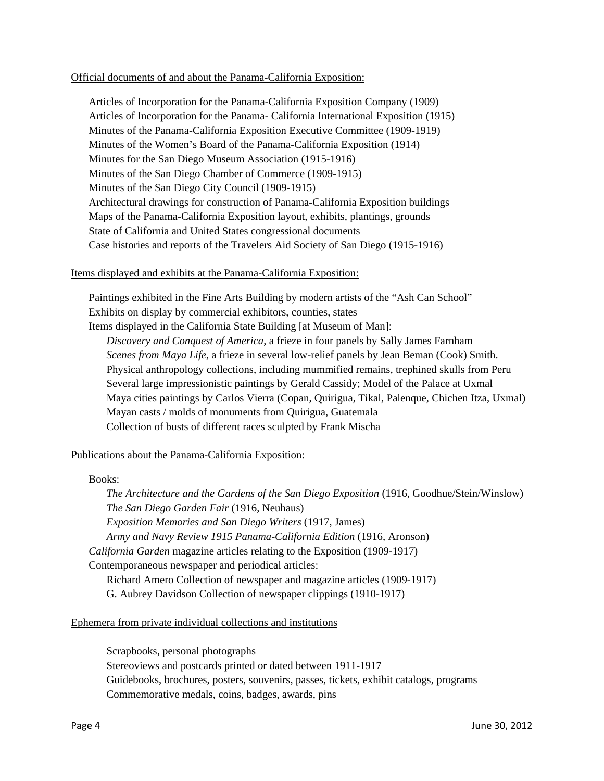#### Official documents of and about the Panama-California Exposition:

Articles of Incorporation for the Panama-California Exposition Company (1909) Articles of Incorporation for the Panama- California International Exposition (1915) Minutes of the Panama-California Exposition Executive Committee (1909-1919) Minutes of the Women's Board of the Panama-California Exposition (1914) Minutes for the San Diego Museum Association (1915-1916) Minutes of the San Diego Chamber of Commerce (1909-1915) Minutes of the San Diego City Council (1909-1915) Architectural drawings for construction of Panama-California Exposition buildings Maps of the Panama-California Exposition layout, exhibits, plantings, grounds State of California and United States congressional documents Case histories and reports of the Travelers Aid Society of San Diego (1915-1916)

### Items displayed and exhibits at the Panama-California Exposition:

Paintings exhibited in the Fine Arts Building by modern artists of the "Ash Can School" Exhibits on display by commercial exhibitors, counties, states Items displayed in the California State Building [at Museum of Man]: *Discovery and Conquest of America*, a frieze in four panels by Sally James Farnham *Scenes from Maya Life*, a frieze in several low-relief panels by Jean Beman (Cook) Smith. Physical anthropology collections, including mummified remains, trephined skulls from Peru Several large impressionistic paintings by Gerald Cassidy; Model of the Palace at Uxmal Maya cities paintings by Carlos Vierra (Copan, Quirigua, Tikal, Palenque, Chichen Itza, Uxmal) Mayan casts / molds of monuments from Quirigua, Guatemala Collection of busts of different races sculpted by Frank Mischa

### Publications about the Panama-California Exposition:

### Books:

*The Architecture and the Gardens of the San Diego Exposition* (1916, Goodhue/Stein/Winslow) *The San Diego Garden Fair* (1916, Neuhaus) *Exposition Memories and San Diego Writers* (1917, James) *Army and Navy Review 1915 Panama-California Edition* (1916, Aronson) *California Garden* magazine articles relating to the Exposition (1909-1917) Contemporaneous newspaper and periodical articles: Richard Amero Collection of newspaper and magazine articles (1909-1917) G. Aubrey Davidson Collection of newspaper clippings (1910-1917)

### Ephemera from private individual collections and institutions

Scrapbooks, personal photographs Stereoviews and postcards printed or dated between 1911-1917 Guidebooks, brochures, posters, souvenirs, passes, tickets, exhibit catalogs, programs Commemorative medals, coins, badges, awards, pins